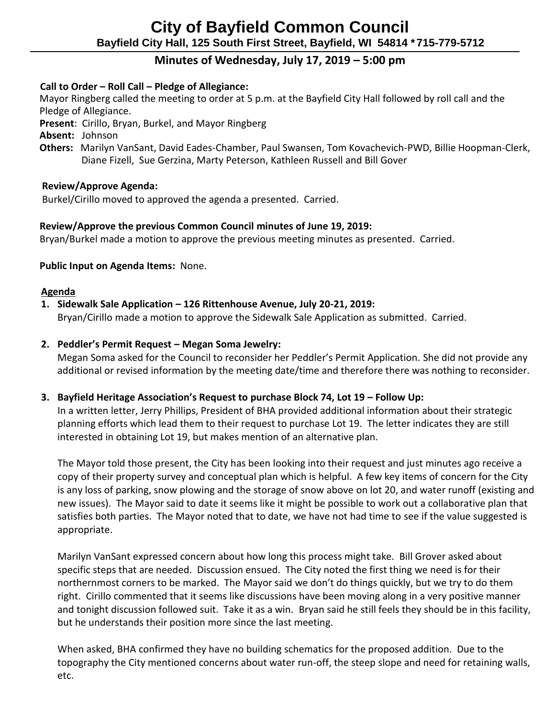# **Minutes of Wednesday, July 17, 2019 – 5:00 pm**

# **Call to Order – Roll Call – Pledge of Allegiance:**

 Mayor Ringberg called the meeting to order at 5 p.m. at the Bayfield City Hall followed by roll call and the Pledge of Allegiance.

 **Present**: Cirillo, Bryan, Burkel, and Mayor Ringberg

 **Absent:** Johnson

 **Others:** Marilyn VanSant, David Eades-Chamber, Paul Swansen, Tom Kovachevich-PWD, Billie Hoopman-Clerk, Diane Fizell, Sue Gerzina, Marty Peterson, Kathleen Russell and Bill Gover

# **Review/Approve Agenda:**

Burkel/Cirillo moved to approved the agenda a presented. Carried.

# **Review/Approve the previous Common Council minutes of June 19, 2019:**

Bryan/Burkel made a motion to approve the previous meeting minutes as presented. Carried.

### **Public Input on Agenda Items:** None.

#### **Agenda**

# **1. Sidewalk Sale Application – 126 Rittenhouse Avenue, July 20-21, 2019:**

Bryan/Cirillo made a motion to approve the Sidewalk Sale Application as submitted. Carried.

### **2. Peddler's Permit Request – Megan Soma Jewelry:**

Megan Soma asked for the Council to reconsider her Peddler's Permit Application. She did not provide any additional or revised information by the meeting date/time and therefore there was nothing to reconsider.

# **3. Bayfield Heritage Association's Request to purchase Block 74, Lot 19 – Follow Up:**

In a written letter, Jerry Phillips, President of BHA provided additional information about their strategic planning efforts which lead them to their request to purchase Lot 19. The letter indicates they are still interested in obtaining Lot 19, but makes mention of an alternative plan.

The Mayor told those present, the City has been looking into their request and just minutes ago receive a copy of their property survey and conceptual plan which is helpful. A few key items of concern for the City is any loss of parking, snow plowing and the storage of snow above on lot 20, and water runoff (existing and new issues). The Mayor said to date it seems like it might be possible to work out a collaborative plan that satisfies both parties. The Mayor noted that to date, we have not had time to see if the value suggested is appropriate.

Marilyn VanSant expressed concern about how long this process might take. Bill Grover asked about specific steps that are needed. Discussion ensued. The City noted the first thing we need is for their northernmost corners to be marked. The Mayor said we don't do things quickly, but we try to do them right. Cirillo commented that it seems like discussions have been moving along in a very positive manner and tonight discussion followed suit. Take it as a win. Bryan said he still feels they should be in this facility, but he understands their position more since the last meeting.

When asked, BHA confirmed they have no building schematics for the proposed addition. Due to the topography the City mentioned concerns about water run-off, the steep slope and need for retaining walls, etc.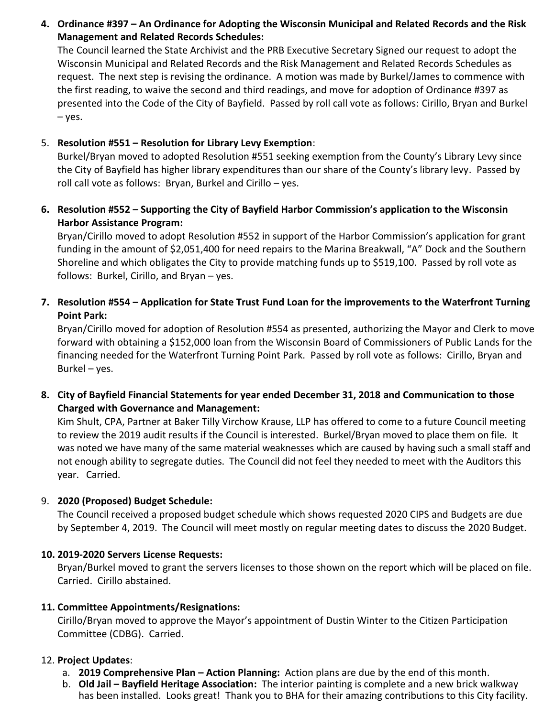**4. Ordinance #397 – An Ordinance for Adopting the Wisconsin Municipal and Related Records and the Risk Management and Related Records Schedules:**

The Council learned the State Archivist and the PRB Executive Secretary Signed our request to adopt the Wisconsin Municipal and Related Records and the Risk Management and Related Records Schedules as request. The next step is revising the ordinance. A motion was made by Burkel/James to commence with the first reading, to waive the second and third readings, and move for adoption of Ordinance #397 as presented into the Code of the City of Bayfield. Passed by roll call vote as follows: Cirillo, Bryan and Burkel – yes.

# 5. **Resolution #551 – Resolution for Library Levy Exemption**:

Burkel/Bryan moved to adopted Resolution #551 seeking exemption from the County's Library Levy since the City of Bayfield has higher library expenditures than our share of the County's library levy. Passed by roll call vote as follows: Bryan, Burkel and Cirillo – yes.

**6. Resolution #552 – Supporting the City of Bayfield Harbor Commission's application to the Wisconsin Harbor Assistance Program:**

Bryan/Cirillo moved to adopt Resolution #552 in support of the Harbor Commission's application for grant funding in the amount of \$2,051,400 for need repairs to the Marina Breakwall, "A" Dock and the Southern Shoreline and which obligates the City to provide matching funds up to \$519,100. Passed by roll vote as follows: Burkel, Cirillo, and Bryan – yes.

**7. Resolution #554 – Application for State Trust Fund Loan for the improvements to the Waterfront Turning Point Park:**

Bryan/Cirillo moved for adoption of Resolution #554 as presented, authorizing the Mayor and Clerk to move forward with obtaining a \$152,000 loan from the Wisconsin Board of Commissioners of Public Lands for the financing needed for the Waterfront Turning Point Park. Passed by roll vote as follows: Cirillo, Bryan and Burkel – yes.

**8. City of Bayfield Financial Statements for year ended December 31, 2018 and Communication to those Charged with Governance and Management:**

Kim Shult, CPA, Partner at Baker Tilly Virchow Krause, LLP has offered to come to a future Council meeting to review the 2019 audit results if the Council is interested. Burkel/Bryan moved to place them on file. It was noted we have many of the same material weaknesses which are caused by having such a small staff and not enough ability to segregate duties. The Council did not feel they needed to meet with the Auditors this year. Carried.

# 9. **2020 (Proposed) Budget Schedule:**

The Council received a proposed budget schedule which shows requested 2020 CIPS and Budgets are due by September 4, 2019. The Council will meet mostly on regular meeting dates to discuss the 2020 Budget.

# **10. 2019-2020 Servers License Requests:**

Bryan/Burkel moved to grant the servers licenses to those shown on the report which will be placed on file. Carried. Cirillo abstained.

# **11. Committee Appointments/Resignations:**

Cirillo/Bryan moved to approve the Mayor's appointment of Dustin Winter to the Citizen Participation Committee (CDBG). Carried.

# 12. **Project Updates**:

- a. **2019 Comprehensive Plan – Action Planning:** Action plans are due by the end of this month.
- b. **Old Jail – Bayfield Heritage Association:** The interior painting is complete and a new brick walkway has been installed. Looks great! Thank you to BHA for their amazing contributions to this City facility.